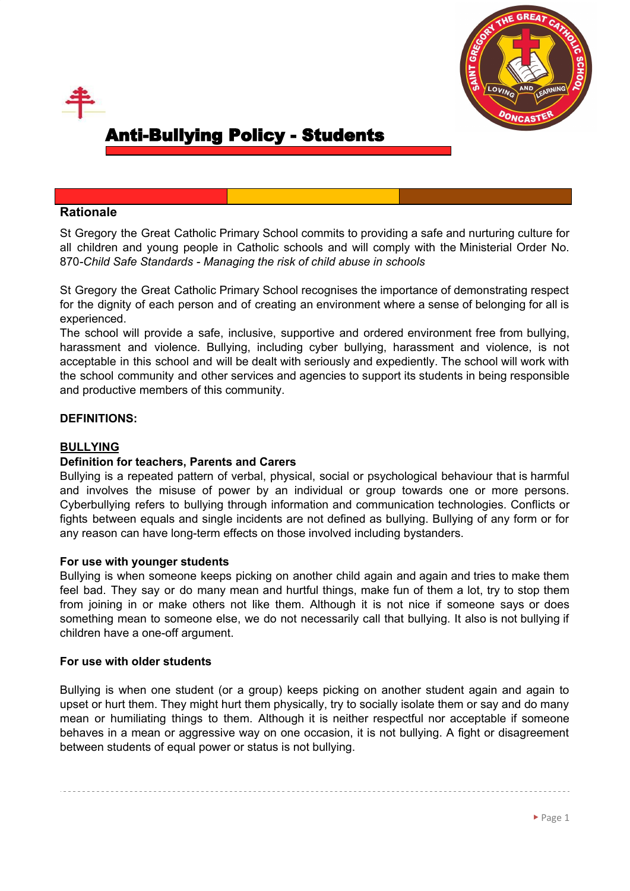



# **Rationale**

St Gregory the Great Catholic Primary School commits to providing a safe and nurturing culture for all children and young people in Catholic schools and will comply with the Ministerial Order No. 870*-Child Safe Standards - Managing the risk of child abuse in schools*

St Gregory the Great Catholic Primary School recognises the importance of demonstrating respect for the dignity of each person and of creating an environment where a sense of belonging for all is experienced.

The school will provide a safe, inclusive, supportive and ordered environment free from bullying, harassment and violence. Bullying, including cyber bullying, harassment and violence, is not acceptable in this school and will be dealt with seriously and expediently. The school will work with the school community and other services and agencies to support its students in being responsible and productive members of this community.

# **DEFINITIONS:**

# **BULLYING**

# **Definition for teachers, Parents and Carers**

Bullying is a repeated pattern of verbal, physical, social or psychological behaviour that is harmful and involves the misuse of power by an individual or group towards one or more persons. Cyberbullying refers to bullying through information and communication technologies. Conflicts or fights between equals and single incidents are not defined as bullying. Bullying of any form or for any reason can have long-term effects on those involved including bystanders.

## **For use with younger students**

Bullying is when someone keeps picking on another child again and again and tries to make them feel bad. They say or do many mean and hurtful things, make fun of them a lot, try to stop them from joining in or make others not like them. Although it is not nice if someone says or does something mean to someone else, we do not necessarily call that bullying. It also is not bullying if children have a one-off argument.

#### **For use with older students**

Bullying is when one student (or a group) keeps picking on another student again and again to upset or hurt them. They might hurt them physically, try to socially isolate them or say and do many mean or humiliating things to them. Although it is neither respectful nor acceptable if someone behaves in a mean or aggressive way on one occasion, it is not bullying. A fight or disagreement between students of equal power or status is not bullying.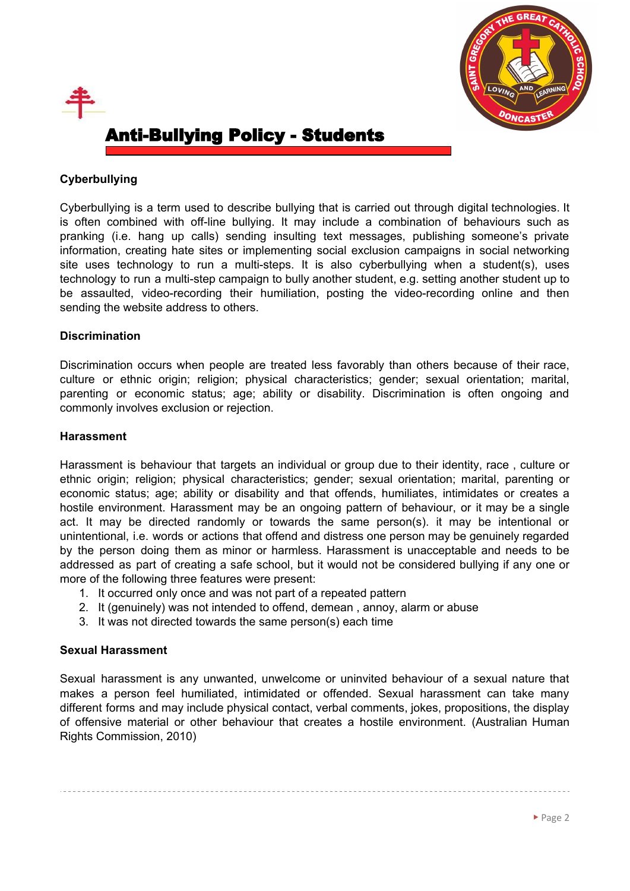



# **Cyberbullying**

Cyberbullying is a term used to describe bullying that is carried out through digital technologies. It is often combined with off-line bullying. It may include a combination of behaviours such as pranking (i.e. hang up calls) sending insulting text messages, publishing someone's private information, creating hate sites or implementing social exclusion campaigns in social networking site uses technology to run a multi-steps. It is also cyberbullying when a student(s), uses technology to run a multi-step campaign to bully another student, e.g. setting another student up to be assaulted, video-recording their humiliation, posting the video-recording online and then sending the website address to others.

# **Discrimination**

Discrimination occurs when people are treated less favorably than others because of their race, culture or ethnic origin; religion; physical characteristics; gender; sexual orientation; marital, parenting or economic status; age; ability or disability. Discrimination is often ongoing and commonly involves exclusion or rejection.

## **Harassment**

Harassment is behaviour that targets an individual or group due to their identity, race , culture or ethnic origin; religion; physical characteristics; gender; sexual orientation; marital, parenting or economic status; age; ability or disability and that offends, humiliates, intimidates or creates a hostile environment. Harassment may be an ongoing pattern of behaviour, or it may be a single act. It may be directed randomly or towards the same person(s). it may be intentional or unintentional, i.e. words or actions that offend and distress one person may be genuinely regarded by the person doing them as minor or harmless. Harassment is unacceptable and needs to be addressed as part of creating a safe school, but it would not be considered bullying if any one or more of the following three features were present:

- 1. It occurred only once and was not part of a repeated pattern
- 2. It (genuinely) was not intended to offend, demean , annoy, alarm or abuse
- 3. It was not directed towards the same person(s) each time

# **Sexual Harassment**

Sexual harassment is any unwanted, unwelcome or uninvited behaviour of a sexual nature that makes a person feel humiliated, intimidated or offended. Sexual harassment can take many different forms and may include physical contact, verbal comments, jokes, propositions, the display of offensive material or other behaviour that creates a hostile environment. (Australian Human Rights Commission, 2010)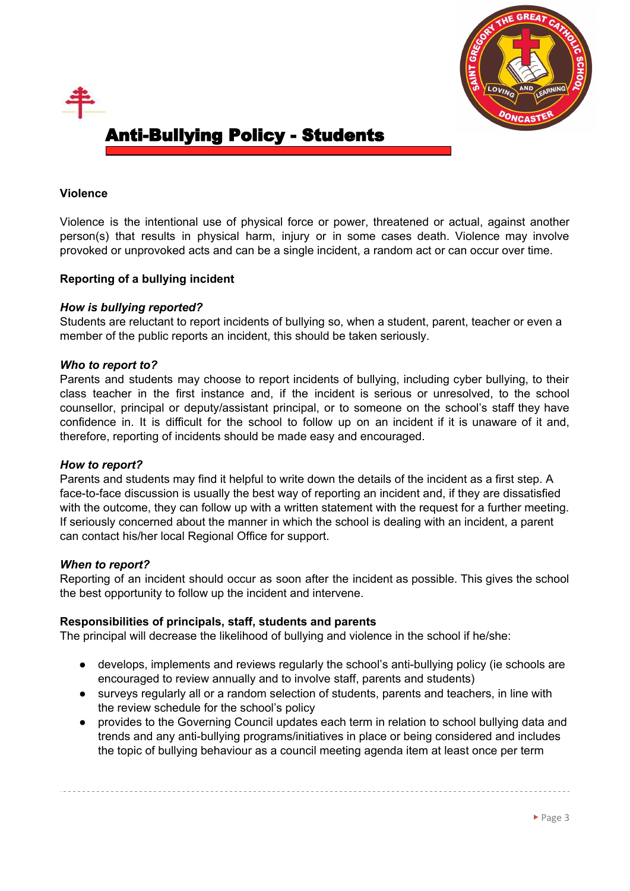



### **Violence**

Violence is the intentional use of physical force or power, threatened or actual, against another person(s) that results in physical harm, injury or in some cases death. Violence may involve provoked or unprovoked acts and can be a single incident, a random act or can occur over time.

## **Reporting of a bullying incident**

### *How is bullying reported?*

Students are reluctant to report incidents of bullying so, when a student, parent, teacher or even a member of the public reports an incident, this should be taken seriously.

#### *Who to report to?*

Parents and students may choose to report incidents of bullying, including cyber bullying, to their class teacher in the first instance and, if the incident is serious or unresolved, to the school counsellor, principal or deputy/assistant principal, or to someone on the school's staff they have confidence in. It is difficult for the school to follow up on an incident if it is unaware of it and, therefore, reporting of incidents should be made easy and encouraged.

#### *How to report?*

Parents and students may find it helpful to write down the details of the incident as a first step. A face-to-face discussion is usually the best way of reporting an incident and, if they are dissatisfied with the outcome, they can follow up with a written statement with the request for a further meeting. If seriously concerned about the manner in which the school is dealing with an incident, a parent can contact his/her local Regional Office for support.

#### *When to report?*

Reporting of an incident should occur as soon after the incident as possible. This gives the school the best opportunity to follow up the incident and intervene.

#### **Responsibilities of principals, staff, students and parents**

The principal will decrease the likelihood of bullying and violence in the school if he/she:

- develops, implements and reviews regularly the school's anti-bullying policy (ie schools are encouraged to review annually and to involve staff, parents and students)
- surveys regularly all or a random selection of students, parents and teachers, in line with the review schedule for the school's policy
- provides to the Governing Council updates each term in relation to school bullying data and trends and any anti-bullying programs/initiatives in place or being considered and includes the topic of bullying behaviour as a council meeting agenda item at least once per term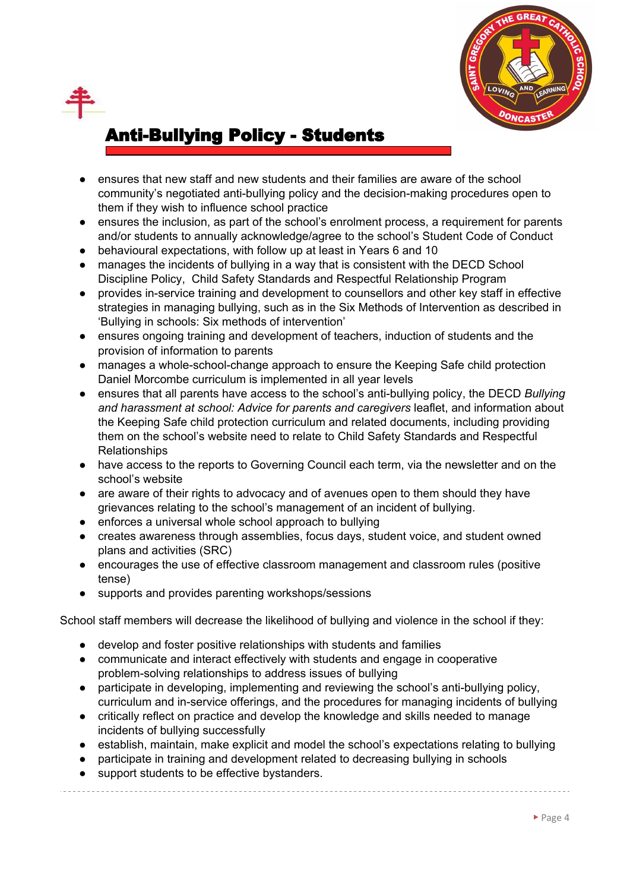

- ensures that new staff and new students and their families are aware of the school community's negotiated anti-bullying policy and the decision-making procedures open to them if they wish to influence school practice
- ensures the inclusion, as part of the school's enrolment process, a requirement for parents and/or students to annually acknowledge/agree to the school's Student Code of Conduct
- behavioural expectations, with follow up at least in Years 6 and 10
- manages the incidents of bullying in a way that is consistent with the DECD School Discipline Policy, Child Safety Standards and Respectful Relationship Program
- provides in-service training and development to counsellors and other key staff in effective strategies in managing bullying, such as in the Six Methods of Intervention as described in 'Bullying in schools: Six methods of intervention'
- ensures ongoing training and development of teachers, induction of students and the provision of information to parents
- manages a whole-school-change approach to ensure the Keeping Safe child protection Daniel Morcombe curriculum is implemented in all year levels
- ensures that all parents have access to the school's anti-bullying policy, the DECD *Bullying and harassment at school: Advice for parents and caregivers* leaflet, and information about the Keeping Safe child protection curriculum and related documents, including providing them on the school's website need to relate to Child Safety Standards and Respectful Relationships
- have access to the reports to Governing Council each term, via the newsletter and on the school's website
- are aware of their rights to advocacy and of avenues open to them should they have grievances relating to the school's management of an incident of bullying.
- enforces a universal whole school approach to bullying
- creates awareness through assemblies, focus days, student voice, and student owned plans and activities (SRC)
- encourages the use of effective classroom management and classroom rules (positive tense)
- supports and provides parenting workshops/sessions

School staff members will decrease the likelihood of bullying and violence in the school if they:

- develop and foster positive relationships with students and families
- communicate and interact effectively with students and engage in cooperative problem-solving relationships to address issues of bullying
- participate in developing, implementing and reviewing the school's anti-bullying policy, curriculum and in-service offerings, and the procedures for managing incidents of bullying
- critically reflect on practice and develop the knowledge and skills needed to manage incidents of bullying successfully
- establish, maintain, make explicit and model the school's expectations relating to bullying
- participate in training and development related to decreasing bullying in schools
- support students to be effective bystanders.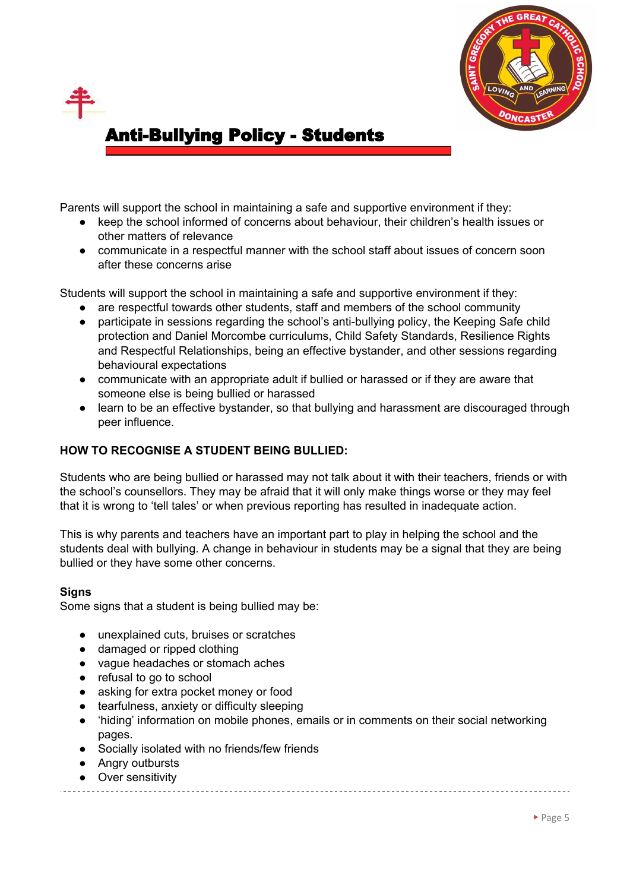



Parents will support the school in maintaining a safe and supportive environment if they:

- keep the school informed of concerns about behaviour, their children's health issues or other matters of relevance
- communicate in a respectful manner with the school staff about issues of concern soon after these concerns arise

Students will support the school in maintaining a safe and supportive environment if they:

- are respectful towards other students, staff and members of the school community
- participate in sessions regarding the school's anti-bullying policy, the Keeping Safe child protection and Daniel Morcombe curriculums, Child Safety Standards, Resilience Rights and Respectful Relationships, being an effective bystander, and other sessions regarding behavioural expectations
- communicate with an appropriate adult if bullied or harassed or if they are aware that someone else is being bullied or harassed
- learn to be an effective bystander, so that bullying and harassment are discouraged through peer influence.

# **HOW TO RECOGNISE A STUDENT BEING BULLIED:**

Students who are being bullied or harassed may not talk about it with their teachers, friends or with the school's counsellors. They may be afraid that it will only make things worse or they may feel that it is wrong to 'tell tales' or when previous reporting has resulted in inadequate action.

This is why parents and teachers have an important part to play in helping the school and the students deal with bullying. A change in behaviour in students may be a signal that they are being bullied or they have some other concerns.

# **Signs**

Some signs that a student is being bullied may be:

- unexplained cuts, bruises or scratches
- damaged or ripped clothing
- vague headaches or stomach aches
- refusal to go to school
- asking for extra pocket money or food
- tearfulness, anxiety or difficulty sleeping
- 'hiding' information on mobile phones, emails or in comments on their social networking pages.
- Socially isolated with no friends/few friends
- Angry outbursts
- Over sensitivity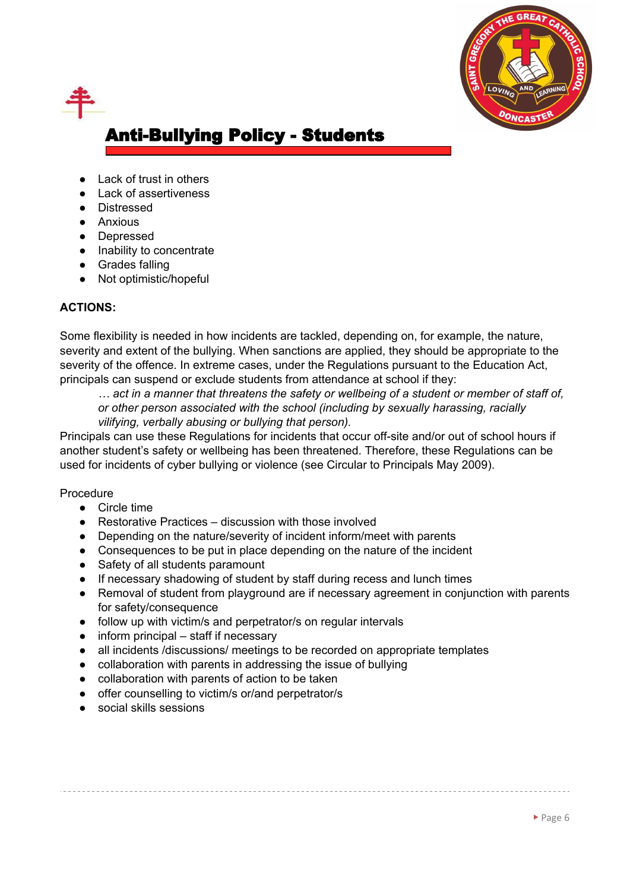

- Lack of trust in others
- Lack of assertiveness
- Distressed
- Anxious
- Depressed
- Inability to concentrate
- Grades falling
- Not optimistic/hopeful

## **ACTIONS:**

Some flexibility is needed in how incidents are tackled, depending on, for example, the nature, severity and extent of the bullying. When sanctions are applied, they should be appropriate to the severity of the offence. In extreme cases, under the Regulations pursuant to the Education Act, principals can suspend or exclude students from attendance at school if they:

... act in a manner that threatens the safety or wellbeing of a student or member of staff of. *or other person associated with the school (including by sexually harassing, racially vilifying, verbally abusing or bullying that person).*

Principals can use these Regulations for incidents that occur off-site and/or out of school hours if another student's safety or wellbeing has been threatened. Therefore, these Regulations can be used for incidents of cyber bullying or violence (see Circular to Principals May 2009).

#### Procedure

- Circle time
- Restorative Practices discussion with those involved
- Depending on the nature/severity of incident inform/meet with parents
- Consequences to be put in place depending on the nature of the incident
- Safety of all students paramount
- If necessary shadowing of student by staff during recess and lunch times
- Removal of student from playground are if necessary agreement in conjunction with parents for safety/consequence
- follow up with victim/s and perpetrator/s on regular intervals
- inform principal staff if necessary
- all incidents /discussions/ meetings to be recorded on appropriate templates
- collaboration with parents in addressing the issue of bullying
- collaboration with parents of action to be taken
- offer counselling to victim/s or/and perpetrator/s
- social skills sessions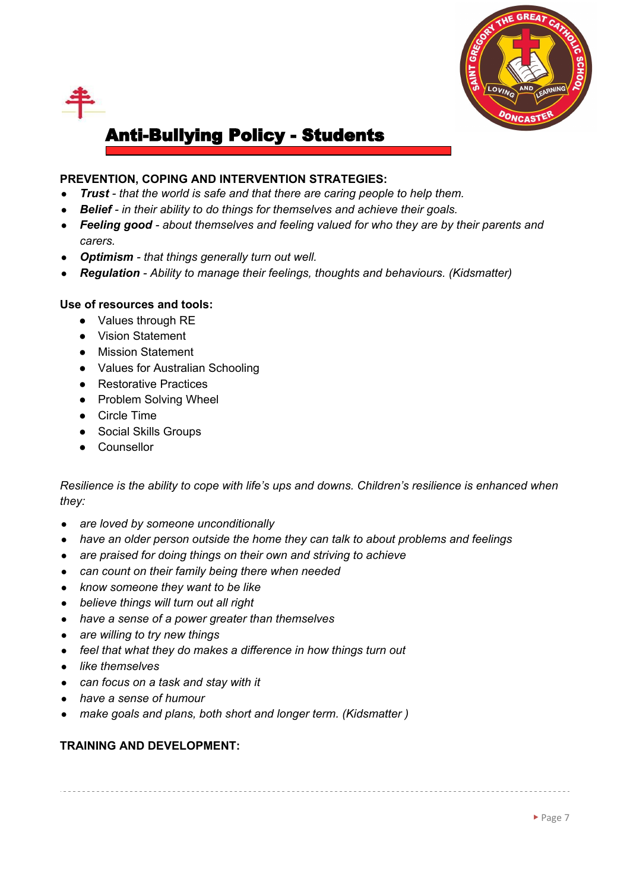

# **PREVENTION, COPING AND INTERVENTION STRATEGIES:**

- *● Trust - that the world is safe and that there are caring people to help them.*
- *● Belief - in their ability to do things for themselves and achieve their goals.*
- *● Feeling good - about themselves and feeling valued for who they are by their parents and carers.*
- *● Optimism - that things generally turn out well.*
- *● Regulation - Ability to manage their feelings, thoughts and behaviours. (Kidsmatter)*

# **Use of resources and tools:**

- Values through RE
- Vision Statement
- Mission Statement
- Values for Australian Schooling
- Restorative Practices
- Problem Solving Wheel
- Circle Time
- Social Skills Groups
- Counsellor

*Resilience is the ability to cope with life's ups and downs. Children's resilience is enhanced when they:*

- *● are loved by someone unconditionally*
- *● have an older person outside the home they can talk to about problems and feelings*
- *● are praised for doing things on their own and striving to achieve*
- *● can count on their family being there when needed*
- *● know someone they want to be like*
- *● believe things will turn out all right*
- *● have a sense of a power greater than themselves*
- *● are willing to try new things*
- *● feel that what they do makes a difference in how things turn out*
- *● like themselves*
- *● can focus on a task and stay with it*
- *● have a sense of humour*
- *● make goals and plans, both short and longer term. (Kidsmatter )*

# **TRAINING AND DEVELOPMENT:**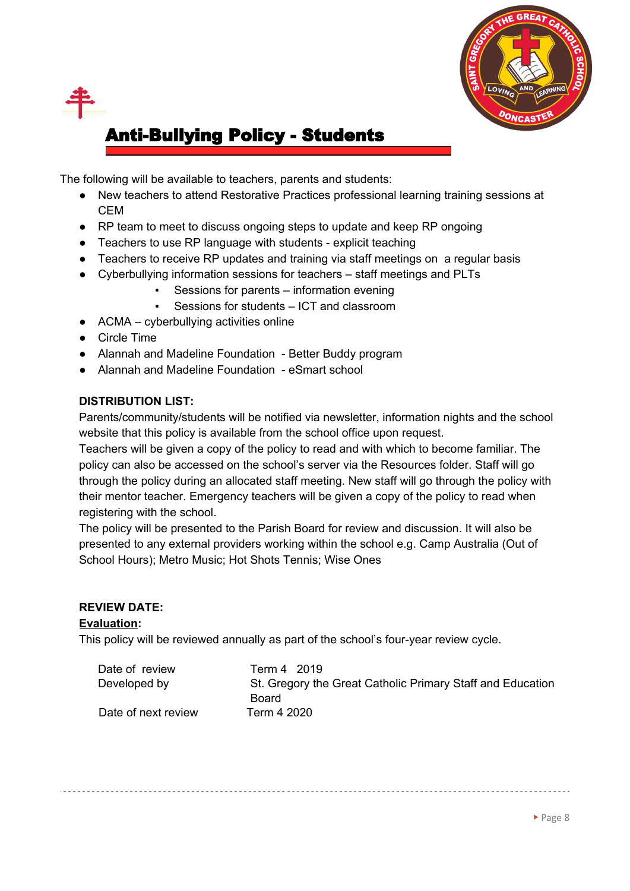

The following will be available to teachers, parents and students:

- New teachers to attend Restorative Practices professional learning training sessions at CEM
- RP team to meet to discuss ongoing steps to update and keep RP ongoing
- Teachers to use RP language with students explicit teaching
- Teachers to receive RP updates and training via staff meetings on a regular basis
- Cyberbullying information sessions for teachers staff meetings and PLTs
	- Sessions for parents information evening
	- Sessions for students ICT and classroom
- $\bullet$  ACMA cyberbullying activities online
- Circle Time
- Alannah and Madeline Foundation Better Buddy program
- Alannah and Madeline Foundation eSmart school

# **DISTRIBUTION LIST:**

Parents/community/students will be notified via newsletter, information nights and the school website that this policy is available from the school office upon request.

Teachers will be given a copy of the policy to read and with which to become familiar. The policy can also be accessed on the school's server via the Resources folder. Staff will go through the policy during an allocated staff meeting. New staff will go through the policy with their mentor teacher. Emergency teachers will be given a copy of the policy to read when registering with the school.

The policy will be presented to the Parish Board for review and discussion. It will also be presented to any external providers working within the school e.g. Camp Australia (Out of School Hours); Metro Music; Hot Shots Tennis; Wise Ones

# **REVIEW DATE:**

# **Evaluation:**

This policy will be reviewed annually as part of the school's four-year review cycle.

| Date of review      | Term 4 2019                                                         |
|---------------------|---------------------------------------------------------------------|
| Developed by        | St. Gregory the Great Catholic Primary Staff and Education<br>Board |
| Date of next review | Term 4 2020                                                         |